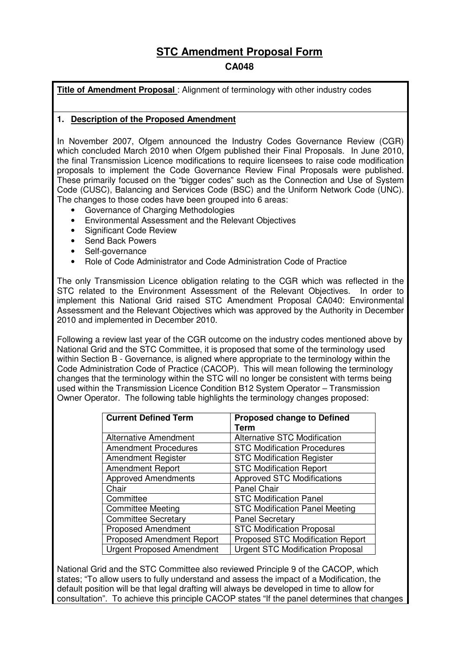# **STC Amendment Proposal Form**

# **CA048**

**Title of Amendment Proposal** : Alignment of terminology with other industry codes

## **1. Description of the Proposed Amendment**

In November 2007, Ofgem announced the Industry Codes Governance Review (CGR) which concluded March 2010 when Ofgem published their Final Proposals. In June 2010, the final Transmission Licence modifications to require licensees to raise code modification proposals to implement the Code Governance Review Final Proposals were published. These primarily focused on the "bigger codes" such as the Connection and Use of System Code (CUSC), Balancing and Services Code (BSC) and the Uniform Network Code (UNC). The changes to those codes have been grouped into 6 areas:

- Governance of Charging Methodologies
- Environmental Assessment and the Relevant Objectives
- Significant Code Review
- Send Back Powers
- Self-governance
- Role of Code Administrator and Code Administration Code of Practice

The only Transmission Licence obligation relating to the CGR which was reflected in the STC related to the Environment Assessment of the Relevant Objectives. In order to implement this National Grid raised STC Amendment Proposal CA040: Environmental Assessment and the Relevant Objectives which was approved by the Authority in December 2010 and implemented in December 2010.

Following a review last year of the CGR outcome on the industry codes mentioned above by National Grid and the STC Committee, it is proposed that some of the terminology used within Section B - Governance, is aligned where appropriate to the terminology within the Code Administration Code of Practice (CACOP). This will mean following the terminology changes that the terminology within the STC will no longer be consistent with terms being used within the Transmission Licence Condition B12 System Operator – Transmission Owner Operator. The following table highlights the terminology changes proposed:

| <b>Current Defined Term</b>      | <b>Proposed change to Defined</b><br>Term |
|----------------------------------|-------------------------------------------|
| <b>Alternative Amendment</b>     | <b>Alternative STC Modification</b>       |
| <b>Amendment Procedures</b>      | <b>STC Modification Procedures</b>        |
| <b>Amendment Register</b>        | <b>STC Modification Register</b>          |
| <b>Amendment Report</b>          | <b>STC Modification Report</b>            |
| <b>Approved Amendments</b>       | <b>Approved STC Modifications</b>         |
| Chair                            | Panel Chair                               |
| Committee                        | <b>STC Modification Panel</b>             |
| <b>Committee Meeting</b>         | <b>STC Modification Panel Meeting</b>     |
| <b>Committee Secretary</b>       | <b>Panel Secretary</b>                    |
| <b>Proposed Amendment</b>        | <b>STC Modification Proposal</b>          |
| <b>Proposed Amendment Report</b> | Proposed STC Modification Report          |
| <b>Urgent Proposed Amendment</b> | <b>Urgent STC Modification Proposal</b>   |

National Grid and the STC Committee also reviewed Principle 9 of the CACOP, which states; "To allow users to fully understand and assess the impact of a Modification, the default position will be that legal drafting will always be developed in time to allow for consultation". To achieve this principle CACOP states "If the panel determines that changes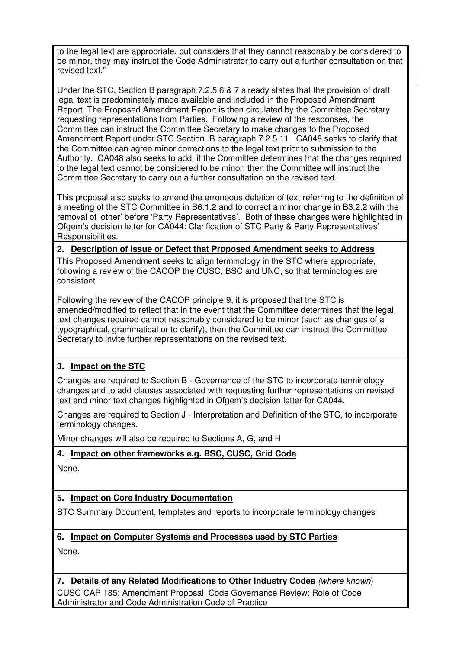to the legal text are appropriate, but considers that they cannot reasonably be considered to be minor, they may instruct the Code Administrator to carry out a further consultation on that revised text."

Under the STC, Section B paragraph 7.2.5.6 & 7 already states that the provision of draft legal text is predominately made available and included in the Proposed Amendment Report. The Proposed Amendment Report is then circulated by the Committee Secretary requesting representations from Parties. Following a review of the responses, the Committee can instruct the Committee Secretary to make changes to the Proposed Amendment Report under STC Section B paragraph 7.2.5.11. CA048 seeks to clarify that the Committee can agree minor corrections to the legal text prior to submission to the Authority. CA048 also seeks to add, if the Committee determines that the changes required to the legal text cannot be considered to be minor, then the Committee will instruct the Committee Secretary to carry out a further consultation on the revised text.

This proposal also seeks to amend the erroneous deletion of text referring to the definition of a meeting of the STC Committee in B6.1.2 and to correct a minor change in B3.2.2 with the removal of 'other' before 'Party Representatives'. Both of these changes were highlighted in Ofgem's decision letter for CA044: Clarification of STC Party & Party Representatives' Responsibilities.

### **2. Description of Issue or Defect that Proposed Amendment seeks to Address**

This Proposed Amendment seeks to align terminology in the STC where appropriate, following a review of the CACOP the CUSC, BSC and UNC, so that terminologies are consistent.

Following the review of the CACOP principle 9, it is proposed that the STC is amended/modified to reflect that in the event that the Committee determines that the legal text changes required cannot reasonably considered to be minor (such as changes of a typographical, grammatical or to clarify), then the Committee can instruct the Committee Secretary to invite further representations on the revised text.

# **3. Impact on the STC**

Changes are required to Section B - Governance of the STC to incorporate terminology changes and to add clauses associated with requesting further representations on revised text and minor text changes highlighted in Ofgem's decision letter for CA044.

Changes are required to Section J - Interpretation and Definition of the STC, to incorporate terminology changes.

Minor changes will also be required to Sections A, G, and H

### **4. Impact on other frameworks e.g. BSC, CUSC, Grid Code**

None.

# **5. Impact on Core Industry Documentation**

STC Summary Document, templates and reports to incorporate terminology changes

### **6. Impact on Computer Systems and Processes used by STC Parties**

None.

### **7. Details of any Related Modifications to Other Industry Codes** (where known)

CUSC CAP 185: Amendment Proposal: Code Governance Review: Role of Code Administrator and Code Administration Code of Practice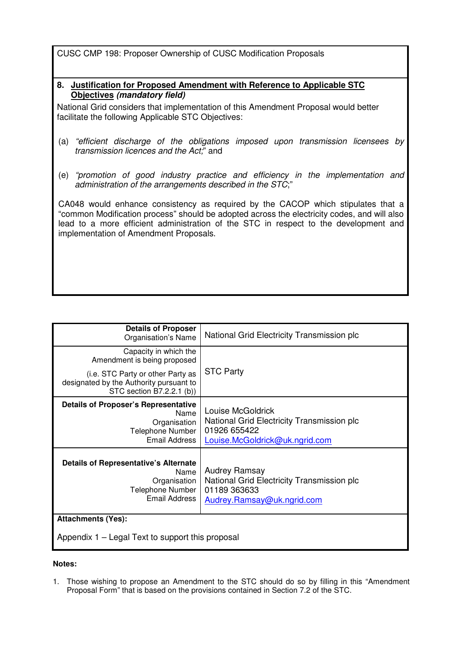CUSC CMP 198: Proposer Ownership of CUSC Modification Proposals

#### **8. Justification for Proposed Amendment with Reference to Applicable STC Objectives (mandatory field)**

National Grid considers that implementation of this Amendment Proposal would better facilitate the following Applicable STC Objectives:

- (a) "efficient discharge of the obligations imposed upon transmission licensees by transmission licences and the Act," and
- (e) "promotion of good industry practice and efficiency in the implementation and administration of the arrangements described in the STC;"

CA048 would enhance consistency as required by the CACOP which stipulates that a "common Modification process" should be adopted across the electricity codes, and will also lead to a more efficient administration of the STC in respect to the development and implementation of Amendment Proposals.

| <b>Details of Proposer</b><br>Organisation's Name                                                                | National Grid Electricity Transmission plc                                                                        |  |
|------------------------------------------------------------------------------------------------------------------|-------------------------------------------------------------------------------------------------------------------|--|
| Capacity in which the<br>Amendment is being proposed                                                             | <b>STC Party</b>                                                                                                  |  |
| (i.e. STC Party or other Party as<br>designated by the Authority pursuant to<br>STC section B7.2.2.1 (b))        |                                                                                                                   |  |
| <b>Details of Proposer's Representative</b><br>Name<br>Organisation<br>Telephone Number<br>Email Address         | Louise McGoldrick<br>National Grid Electricity Transmission plc<br>01926 655422<br>Louise.McGoldrick@uk.ngrid.com |  |
| <b>Details of Representative's Alternate</b><br>Name<br>Organisation<br>Telephone Number<br><b>Email Address</b> | <b>Audrey Ramsay</b><br>National Grid Electricity Transmission plc<br>01189 363633<br>Audrey.Ramsay@uk.ngrid.com  |  |
| <b>Attachments (Yes):</b>                                                                                        |                                                                                                                   |  |
| Appendix 1 – Legal Text to support this proposal                                                                 |                                                                                                                   |  |

#### **Notes:**

1. Those wishing to propose an Amendment to the STC should do so by filling in this "Amendment Proposal Form" that is based on the provisions contained in Section 7.2 of the STC.